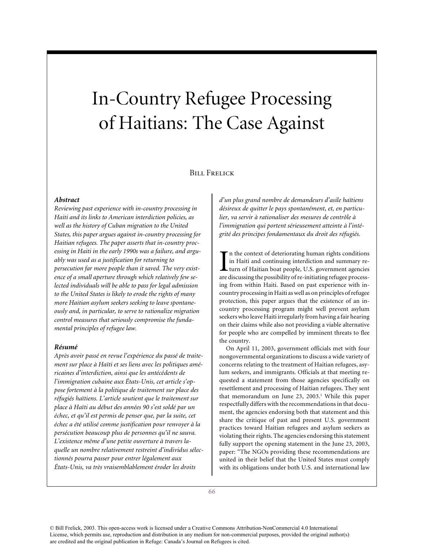# In-Country Refugee Processing of Haitians: The Case Against

## **BILL FRELICK**

## *Abstract*

*Reviewing past experience with in-country processing in Haiti and its links to American interdiction policies, as well as the history of Cuban migration to the United States, this paper argues against in-country processing for Haitian refugees. The paper asserts that in-country processing in Haiti in the early 1990s was a failure, and arguably was used as a justification for returning to persecution far more people than it saved. The very existence of a small aperture through which relatively few selected individuals will be able to pass for legal admission to the United States is likely to erode the rights of many more Haitian asylum seekers seeking to leave spontaneously and, in particular, to serve to rationalize migration control measures that seriously compromise the fundamental principles of refugee law.*

## *Résumé*

*Après avoir passé en revue l'expérience du passé de traitement sur place à Haïti et ses liens avec les politiques américaines d'interdiction, ainsi que les antécédents de l'immigration cubaine aux États-Unis, cet article s'oppose fortement à la politique de traitement sur place des réfugiés haïtiens. L'article soutient que le traitement sur place à Haïti au début des années 90 s'est soldé par un échec, et qu'il est permis de penser que, par la suite, cet échec a été utilisé comme justification pour renvoyer à la persécution beaucoup plus de personnes qu'il ne sauva. L'existence même d'une petite ouverture à travers laquelle un nombre relativement restreint d'individus sélectionnés pourra passer pour entrer légalement aux États-Unis, va très vraisemblablement éroder les droits*

*d'un plus grand nombre de demandeurs d'asile haïtiens désireux de quitter le pays spontanément, et, en particulier, va servir à rationaliser des mesures de contrôle à l'immigration qui portent sérieusement atteinte à l'intégrité des principes fondamentaux du droit des réfugiés.*

In the context of deteriorating human rights conditions<br>in Haiti and continuing interdiction and summary re-<br>turn of Haitian boat people, U.S. government agencies<br>are discussing the possibility of re-initiating refugee pro n the context of deteriorating human rights conditions in Haiti and continuing interdiction and summary return of Haitian boat people, U.S. government agencies ing from within Haiti. Based on past experience with incountry processing in Haiti as well as on principles of refugee protection, this paper argues that the existence of an incountry processing program might well prevent asylum seekers who leave Haiti irregularly from having a fair hearing on their claims while also not providing a viable alternative for people who are compelled by imminent threats to flee the country.

On April 11, 2003, government officials met with four nongovernmental organizations to discuss a wide variety of concerns relating to the treatment of Haitian refugees, asylum seekers, and immigrants. Officials at that meeting requested a statement from those agencies specifically on resettlement and processing of Haitian refugees. They sent that memorandum on June  $23$ ,  $2003$ .<sup>1</sup> While this paper respectfully differs with the recommendations in that document, the agencies endorsing both that statement and this share the critique of past and present U.S. government practices toward Haitian refugees and asylum seekers as violating their rights. The agencies endorsing this statement fully support the opening statement in the June 23, 2003, paper: "The NGOs providing these recommendations are united in their belief that the United States must comply with its obligations under both U.S. and international law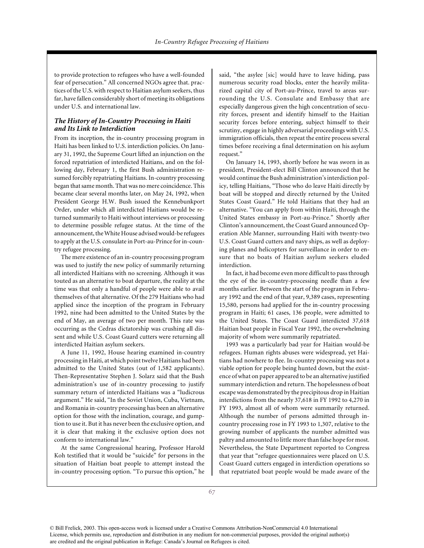to provide protection to refugees who have a well-founded fear of persecution." All concerned NGOs agree that. practices of the U.S. with respect to Haitian asylum seekers, thus far, have fallen considerably short of meeting its obligations under U.S. and international law.

## *The History of In-Country Processing in Haiti and Its Link to Interdiction*

From its inception, the in-country processing program in Haiti has been linked to U.S. interdiction policies. On January 31, 1992, the Supreme Court lifted an injunction on the forced repatriation of interdicted Haitians, and on the following day, February 1, the first Bush administration resumed forcibly repatriating Haitians. In-country processing began that same month. That was no mere coincidence. This became clear several months later, on May 24, 1992, when President George H.W. Bush issued the Kennebunkport Order, under which all interdicted Haitians would be returned summarily to Haiti without interviews or processing to determine possible refugee status. At the time of the announcement, the White House advised would-be refugees to apply at the U.S. consulate in Port-au-Prince for in-country refugee processing.

The mere existence of an in-country processing program was used to justify the new policy of summarily returning all interdicted Haitians with no screening. Although it was touted as an alternative to boat departure, the reality at the time was that only a handful of people were able to avail themselves of that alternative. Of the 279 Haitians who had applied since the inception of the program in February 1992, nine had been admitted to the United States by the end of May, an average of two per month. This rate was occurring as the Cedras dictatorship was crushing all dissent and while U.S. Coast Guard cutters were returning all interdicted Haitian asylum seekers.

A June 11, 1992, House hearing examined in-country processing in Haiti, at which point twelve Haitians had been admitted to the United States (out of 1,582 applicants). Then-Representative Stephen J. Solarz said that the Bush administration's use of in-country processing to justify summary return of interdicted Haitians was a "ludicrous argument." He said, "In the Soviet Union, Cuba, Vietnam, and Romania in-country processing has been an alternative option for those with the inclination, courage, and gumption to use it. But it has never been the exclusive option, and it is clear that making it the exclusive option does not conform to international law."

At the same Congressional hearing, Professor Harold Koh testified that it would be "suicide" for persons in the situation of Haitian boat people to attempt instead the in-country processing option. "To pursue this option," he

said, "the asylee [sic] would have to leave hiding, pass numerous security road blocks, enter the heavily militarized capital city of Port-au-Prince, travel to areas surrounding the U.S. Consulate and Embassy that are especially dangerous given the high concentration of security forces, present and identify himself to the Haitian security forces before entering, subject himself to their scrutiny, engage in highly adversarial proceedings with U.S. immigration officials, then repeat the entire process several times before receiving a final determination on his asylum request."

On January 14, 1993, shortly before he was sworn in as president, President-elect Bill Clinton announced that he would continue the Bush administration's interdiction policy, telling Haitians, "Those who do leave Haiti directly by boat will be stopped and directly returned by the United States Coast Guard." He told Haitians that they had an alternative. "You can apply from within Haiti, through the United States embassy in Port-au-Prince." Shortly after Clinton's announcement, the Coast Guard announced Operation Able Manner, surrounding Haiti with twenty-two U.S. Coast Guard cutters and navy ships, as well as deploying planes and helicopters for surveillance in order to ensure that no boats of Haitian asylum seekers eluded interdiction.

In fact, it had become even more difficult to pass through the eye of the in-country-processing needle than a few months earlier. Between the start of the program in February 1992 and the end of that year, 9,389 cases, representing 15,580, persons had applied for the in-country processing program in Haiti; 61 cases, 136 people, were admitted to the United States. The Coast Guard interdicted 37,618 Haitian boat people in Fiscal Year 1992, the overwhelming majority of whom were summarily repatriated.

1993 was a particularly bad year for Haitian would-be refugees. Human rights abuses were widespread, yet Haitians had nowhere to flee. In-country processing was not a viable option for people being hunted down, but the existence of what on paper appeared to be an alternative justified summary interdiction and return. The hopelessness of boat escape was demonstrated by the precipitous drop in Haitian interdictions from the nearly 37,618 in FY 1992 to 4,270 in FY 1993, almost all of whom were summarily returned. Although the number of persons admitted through incountry processing rose in FY 1993 to 1,307, relative to the growing number of applicants the number admitted was paltry and amounted to little more than false hope for most. Nevertheless, the State Department reported to Congress that year that "refugee questionnaires were placed on U.S. Coast Guard cutters engaged in interdiction operations so that repatriated boat people would be made aware of the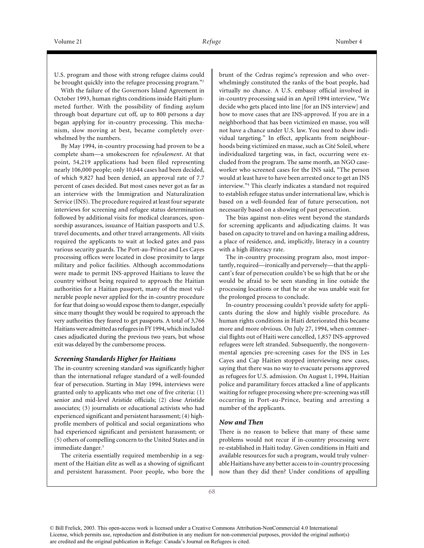U.S. program and those with strong refugee claims could be brought quickly into the refugee processing program."<sup>2</sup>

With the failure of the Governors Island Agreement in October 1993, human rights conditions inside Haiti plummeted further. With the possibility of finding asylum through boat departure cut off, up to 800 persons a day began applying for in-country processing. This mechanism, slow moving at best, became completely overwhelmed by the numbers.

By May 1994, in-country processing had proven to be a complete sham—a smokescreen for *refoulement*. At that point, 54,219 applications had been filed representing nearly 106,000 people; only 10,644 cases had been decided, of which 9,827 had been denied, an approval rate of 7.7 percent of cases decided. But most cases never got as far as an interview with the Immigration and Naturalization Service (INS). The procedure required at least four separate interviews for screening and refugee status determination followed by additional visits for medical clearances, sponsorship assurances, issuance of Haitian passports and U.S. travel documents, and other travel arrangements. All visits required the applicants to wait at locked gates and pass various security guards. The Port-au-Prince and Les Cayes processing offices were located in close proximity to large military and police facilities. Although accommodations were made to permit INS-approved Haitians to leave the country without being required to approach the Haitian authorities for a Haitian passport, many of the most vulnerable people never applied for the in-country procedure for fear that doing so would expose them to danger, especially since many thought they would be required to approach the very authorities they feared to get passports. A total of 3,766 Haitians were admittedas refugees in FY 1994, which included cases adjudicated during the previous two years, but whose exit was delayed by the cumbersome process.

#### *Screening Standards Higher for Haitians*

The in-country screening standard was significantly higher than the international refugee standard of a well-founded fear of persecution. Starting in May 1994, interviews were granted only to applicants who met one of five criteria: (1) senior and mid-level Aristide officials; (2) close Aristide associates; (3) journalists or educational activists who had experienced significant and persistent harassment; (4) highprofile members of political and social organizations who had experienced significant and persistent harassment; or (5) others of compelling concern to the United States and in immediate danger.<sup>3</sup>

The criteria essentially required membership in a segment of the Haitian elite as well as a showing of significant and persistent harassment. Poor people, who bore the

brunt of the Cedras regime's repression and who overwhelmingly constituted the ranks of the boat people, had virtually no chance. A U.S. embassy official involved in in-country processing said in an April 1994 interview, "We decide who gets placed into line [for an INS interview] and how to move cases that are INS-approved. If you are in a neighborhood that has been victimized en masse, you will not have a chance under U.S. law. You need to show individual targeting." In effect, applicants from neighbourhoods being victimized en masse, such as Cité Soleil, where individualized targeting was, in fact, occurring were excluded from the program. The same month, an NGO caseworker who screened cases for the INS said, "The person would at least have to have been arrested once to get an INS interview."4 This clearly indicates a standard not required to establish refugee status under international law, which is based on a well-founded fear of future persecution, not necessarily based on a showing of past persecution.

The bias against non-elites went beyond the standards for screening applicants and adjudicating claims. It was based on capacity to travel and on having a mailing address, a place of residence, and, implicitly, literacy in a country with a high illiteracy rate.

The in-country processing program also, most importantly, required—ironically and perversely—that the applicant's fear of persecution couldn't be so high that he or she would be afraid to be seen standing in line outside the processing locations or that he or she was unable wait for the prolonged process to conclude.

In-country processing couldn't provide safety for applicants during the slow and highly visible procedure. As human rights conditions in Haiti deteriorated this became more and more obvious. On July 27, 1994, when commercial flights out of Haiti were cancelled, 1,857 INS-approved refugees were left stranded. Subsequently, the nongovernmental agencies pre-screening cases for the INS in Les Cayes and Cap Haitien stopped interviewing new cases, saying that there was no way to evacuate persons approved as refugees for U.S. admission. On August 1, 1994, Haitian police and paramilitary forces attacked a line of applicants waiting for refugee processing where pre-screening was still occurring in Port-au-Prince, beating and arresting a number of the applicants.

#### *Now and Then*

There is no reason to believe that many of these same problems would not recur if in-country processing were re-established in Haiti today. Given conditions in Haiti and available resources for such a program, would truly vulnerable Haitians have any better access to in-country processing now than they did then? Under conditions of appalling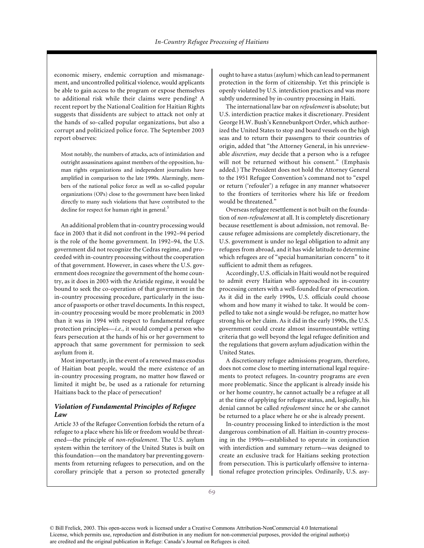economic misery, endemic corruption and mismanagement, and uncontrolled political violence, would applicants be able to gain access to the program or expose themselves to additional risk while their claims were pending? A recent report by the National Coalition for Haitian Rights suggests that dissidents are subject to attack not only at the hands of so-called popular organizations, but also a corrupt and politicized police force. The September 2003 report observes:

Most notably, the numbers of attacks, acts of intimidation and outright assassinations against members of the opposition, human rights organizations and independent journalists have amplified in comparison to the late 1990s. Alarmingly, members of the national police force as well as so-called popular organizations (OPs) close to the government have been linked directly to many such violations that have contributed to the decline for respect for human right in general.<sup>5</sup>

An additional problem that in-country processing would face in 2003 that it did not confront in the 1992–94 period is the role of the home government. In 1992–94, the U.S. government did not recognize the Cedras regime, and proceeded with in-country processing without the cooperation of that government. However, in cases where the U.S. government does recognize the government of the home country, as it does in 2003 with the Aristide regime, it would be bound to seek the co-operation of that government in the in-country processing procedure, particularly in the issuance of passports or other travel documents. In this respect, in-country processing would be more problematic in 2003 than it was in 1994 with respect to fundamental refugee protection principles—*i.e.*, it would compel a person who fears persecution at the hands of his or her government to approach that same government for permission to seek asylum from it.

Most importantly, in the event of a renewed mass exodus of Haitian boat people, would the mere existence of an in-country processing program, no matter how flawed or limited it might be, be used as a rationale for returning Haitians back to the place of persecution?

## *Violation of Fundamental Principles of Refugee Law*

Article 33 of the Refugee Convention forbids the return of a refugee to a place where his life or freedom would be threatened—the principle of *non-refoulement*. The U.S. asylum system within the territory of the United States is built on this foundation—on the mandatory bar preventing governments from returning refugees to persecution, and on the corollary principle that a person so protected generally ought to have a status (asylum) which can lead to permanent protection in the form of citizenship. Yet this principle is openly violated by U.S. interdiction practices and was more subtly undermined by in-country processing in Haiti.

The international law bar on *refoulement* is absolute; but U.S. interdiction practice makes it discretionary. President George H.W. Bush's Kennebunkport Order, which authorized the United States to stop and board vessels on the high seas and to return their passengers to their countries of origin, added that "the Attorney General, in his unreviewable *discretion*, *may* decide that a person who is a refugee will not be returned without his consent." (Emphasis added.) The President does not hold the Attorney General to the 1951 Refugee Convention's command not to "expel or return ('refouler') a refugee in any manner whatsoever to the frontiers of territories where his life or freedom would be threatened."

Overseas refugee resettlement is not built on the foundation of *non-refoulement* at all. It is completely discretionary because resettlement is about admission, not removal. Because refugee admissions are completely discretionary, the U.S. government is under no legal obligation to admit any refugees from abroad, and it has wide latitude to determine which refugees are of "special humanitarian concern" to it sufficient to admit them as refugees.

Accordingly, U.S. officials in Haiti would not be required to admit every Haitian who approached its in-country processing centers with a well-founded fear of persecution. As it did in the early 1990s, U.S. officials could choose whom and how many it wished to take. It would be compelled to take not a single would-be refugee, no matter how strong his or her claim. As it did in the early 1990s, the U.S. government could create almost insurmountable vetting criteria that go well beyond the legal refugee definition and the regulations that govern asylum adjudication within the United States.

A discretionary refugee admissions program, therefore, does not come close to meeting international legal requirements to protect refugees. In-country programs are even more problematic. Since the applicant is already inside his or her home country, he cannot actually be a refugee at all at the time of applying for refugee status, and, logically, his denial cannot be called *refoulement* since he or she cannot be returned to a place where he or she is already present.

In-country processing linked to interdiction is the most dangerous combination of all. Haitian in-country processing in the 1990s—established to operate in conjunction with interdiction and summary return—was designed to create an exclusive track for Haitians seeking protection from persecution. This is particularly offensive to international refugee protection principles. Ordinarily, U.S. asy-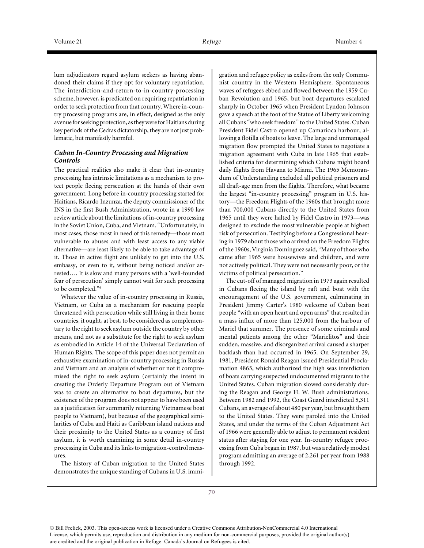lum adjudicators regard asylum seekers as having abandoned their claims if they opt for voluntary repatriation. The interdiction-and-return-to-in-country-processing scheme, however, is predicated on requiring repatriation in order to seek protection from that country. Where in-country processing programs are, in effect, designed as the only avenue for seeking protection, as they were for Haitians during key periods of the Cedras dictatorship, they are not just problematic, but manifestly harmful.

## *Cuban In-Country Processing and Migration Controls*

The practical realities also make it clear that in-country processing has intrinsic limitations as a mechanism to protect people fleeing persecution at the hands of their own government. Long before in-country processing started for Haitians, Ricardo Inzunza, the deputy commissioner of the INS in the first Bush Administration, wrote in a 1990 law review article about the limitations of in-country processing in the Soviet Union, Cuba, and Vietnam. "Unfortunately, in most cases, those most in need of this remedy—those most vulnerable to abuses and with least access to any viable alternative—are least likely to be able to take advantage of it. Those in active flight are unlikely to get into the U.S. embassy, or even to it, without being noticed and/or arrested…. It is slow and many persons with a 'well-founded fear of persecution' simply cannot wait for such processing to be completed."6

Whatever the value of in-country processing in Russia, Vietnam, or Cuba as a mechanism for rescuing people threatened with persecution while still living in their home countries, it ought, at best, to be considered as complementary to the right to seek asylum outside the country by other means, and not as a substitute for the right to seek asylum as embodied in Article 14 of the Universal Declaration of Human Rights. The scope of this paper does not permit an exhaustive examination of in-country processing in Russia and Vietnam and an analysis of whether or not it compromised the right to seek asylum (certainly the intent in creating the Orderly Departure Program out of Vietnam was to create an alternative to boat departures, but the existence of the program does not appear to have been used as a justification for summarily returning Vietnamese boat people to Vietnam), but because of the geographical similarities of Cuba and Haiti as Caribbean island nations and their proximity to the United States as a country of first asylum, it is worth examining in some detail in-country processing in Cuba and its links to migration-control measures.

The history of Cuban migration to the United States demonstrates the unique standing of Cubans in U.S. immigration and refugee policy as exiles from the only Communist country in the Western Hemisphere. Spontaneous waves of refugees ebbed and flowed between the 1959 Cuban Revolution and 1965, but boat departures escalated sharply in October 1965 when President Lyndon Johnson gave a speech at the foot of the Statue of Liberty welcoming all Cubans "who seek freedom" to the United States. Cuban President Fidel Castro opened up Camarioca harbour, allowing a flotilla of boats to leave. The large and unmanaged migration flow prompted the United States to negotiate a migration agreement with Cuba in late 1965 that established criteria for determining which Cubans might board daily flights from Havana to Miami. The 1965 Memorandum of Understanding excluded all political prisoners and all draft-age men from the flights. Therefore, what became the largest "in-country processing" program in U.S. history—the Freedom Flights of the 1960s that brought more than 700,000 Cubans directly to the United States from 1965 until they were halted by Fidel Castro in 1973—was designed to exclude the most vulnerable people at highest risk of persecution. Testifying before a Congressional hearing in 1979 about those who arrived on the Freedom Flights of the 1960s, Virginia Dominguez said, "Many of those who came after 1965 were housewives and children, and were not actively political. They were not necessarily poor, or the victims of political persecution."

The cut-off of managed migration in 1973 again resulted in Cubans fleeing the island by raft and boat with the encouragement of the U.S. government, culminating in President Jimmy Carter's 1980 welcome of Cuban boat people "with an open heart and open arms" that resulted in a mass influx of more than 125,000 from the harbour of Mariel that summer. The presence of some criminals and mental patients among the other "Marielitos" and their sudden, massive, and disorganized arrival caused a sharper backlash than had occurred in 1965. On September 29, 1981, President Ronald Reagan issued Presidential Proclamation 4865, which authorized the high seas interdiction of boats carrying suspected undocumented migrants to the United States. Cuban migration slowed considerably during the Reagan and George H. W. Bush administrations. Between 1982 and 1992, the Coast Guard interdicted 5,311 Cubans, an average of about 480 per year, but brought them to the United States. They were paroled into the United States, and under the terms of the Cuban Adjustment Act of 1966 were generally able to adjust to permanent resident status after staying for one year. In-country refugee processing from Cuba began in 1987, but was a relatively modest program admitting an average of 2,261 per year from 1988 through 1992.

<sup>©</sup> Bill Frelick, 2003. This open-access work is licensed under a Creative Commons Attribution-NonCommercial 4.0 International License, which permits use, reproduction and distribution in any medium for non-commercial purposes, provided the original author(s) are credited and the original publication in Refuge: Canada's Journal on Refugees is cited.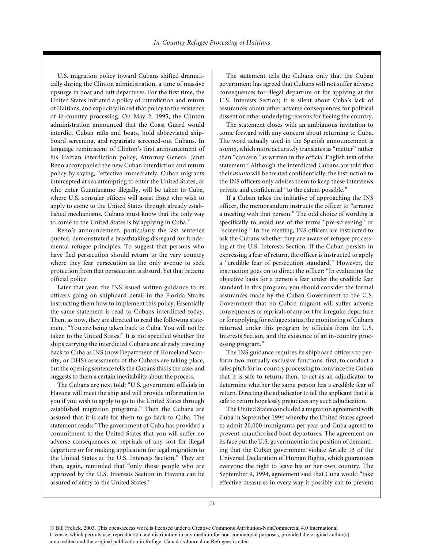U.S. migration policy toward Cubans shifted dramatically during the Clinton administration, a time of massive upsurge in boat and raft departures. For the first time, the United States initiated a policy of interdiction and return of Haitians, and explicitly linked that policy to the existence of in-country processing. On May 2, 1995, the Clinton administration announced that the Coast Guard would interdict Cuban rafts and boats, hold abbreviated shipboard screening, and repatriate screened-out Cubans. In language reminiscent of Clinton's first announcement of his Haitian interdiction policy, Attorney General Janet Reno accompanied the new Cuban interdiction and return policy by saying, "effective immediately, Cuban migrants intercepted at sea attempting to enter the United States, or who enter Guantanamo illegally, will be taken to Cuba, where U.S. consular officers will assist those who wish to apply to come to the United States through already established mechanisms. Cubans must know that the only way to come to the United States is by applying in Cuba."

Reno's announcement, particularly the last sentence quoted, demonstrated a breathtaking disregard for fundamental refugee principles. To suggest that persons who have fled persecution should return to the very country where they fear persecution as the only avenue to seek protection from that persecution is absurd. Yet that became official policy.

Later that year, the INS issued written guidance to its officers going on shipboard detail in the Florida Straits instructing them how to implement this policy. Essentially the same statement is read to Cubans interdicted today. Then, as now, they are directed to read the following statement: "You are being taken back to Cuba. You will not be taken to the United States." It is not specified whether the ships carrying the interdicted Cubans are already traveling back to Cuba as INS (now Department of Homeland Security, or DHS) assessments of the Cubans are taking place, but the opening sentence tells the Cubans this is the case, and suggests to them a certain inevitability about the process.

The Cubans are next told: "U.S. government officials in Havana will meet the ship and will provide information to you if you wish to apply to go to the United States through established migration programs." Then the Cubans are assured that it is safe for them to go back to Cuba. The statement reads: "The government of Cuba has provided a commitment to the United States that you will suffer no adverse consequences or reprisals of any sort for illegal departure or for making application for legal migration to the United States at the U.S. Interests Section." They are then, again, reminded that "only those people who are approved by the U.S. Interests Section in Havana can be assured of entry to the United States."

The statement tells the Cubans only that the Cuban government has agreed that Cubans will not suffer adverse consequences for illegal departure or for applying at the U.S. Interests Section; it is silent about Cuba's lack of assurances about other adverse consequences for political dissent or other underlying reasons for fleeing the country.

The statement closes with an ambiguous invitation to come forward with any concern about returning to Cuba. The word actually used in the Spanish announcement is *asunto*, which more accurately translates as "matter" rather than "concern" as written in the official English text of the statement.7 Although the interdicted Cubans are told that their *asunto* will be treated confidentially, the instruction to the INS officers only advises them to keep these interviews private and confidential "to the extent possible."

If a Cuban takes the initiative of approaching the INS officer, the memorandum instructs the officer to "arrange a meeting with that person." The odd choice of wording is specifically to avoid use of the terms "pre-screening" or "screening." In the meeting, INS officers are instructed to ask the Cubans whether they are aware of refugee processing at the U.S. Interests Section. If the Cuban persists in expressing a fear of return, the officer is instructed to apply a "credible fear of persecution standard." However, the instruction goes on to direct the officer: "In evaluating the objective basis for a person's fear under the credible fear standard in this program, you should consider the formal assurances made by the Cuban Government to the U.S. Government that no Cuban migrant will suffer adverse consequences or reprisals of any sort for irregular departure or for applying for refugee status, the monitoring of Cubans returned under this program by officials from the U.S. Interests Section, and the existence of an in-country processing program."

The INS guidance requires its shipboard officers to perform two mutually exclusive functions: first, to conduct a sales pitch for in-country processing to convince the Cuban that it is safe to return; then, to act as an adjudicator to determine whether the same person has a credible fear of return. Directing the adjudicator to tell the applicant that it is safe to return hopelessly prejudices any such adjudication.

The United States concluded a migration agreement with Cuba in September 1994 whereby the United States agreed to admit 20,000 immigrants per year and Cuba agreed to prevent unauthorized boat departures. The agreement on its face put the U.S. government in the position of demanding that the Cuban government violate Article 13 of the Universal Declaration of Human Rights, which guarantees everyone the right to leave his or her own country. The September 9, 1994, agreement said that Cuba would "take effective measures in every way it possibly can to prevent

<sup>©</sup> Bill Frelick, 2003. This open-access work is licensed under a Creative Commons Attribution-NonCommercial 4.0 International License, which permits use, reproduction and distribution in any medium for non-commercial purposes, provided the original author(s) are credited and the original publication in Refuge: Canada's Journal on Refugees is cited.